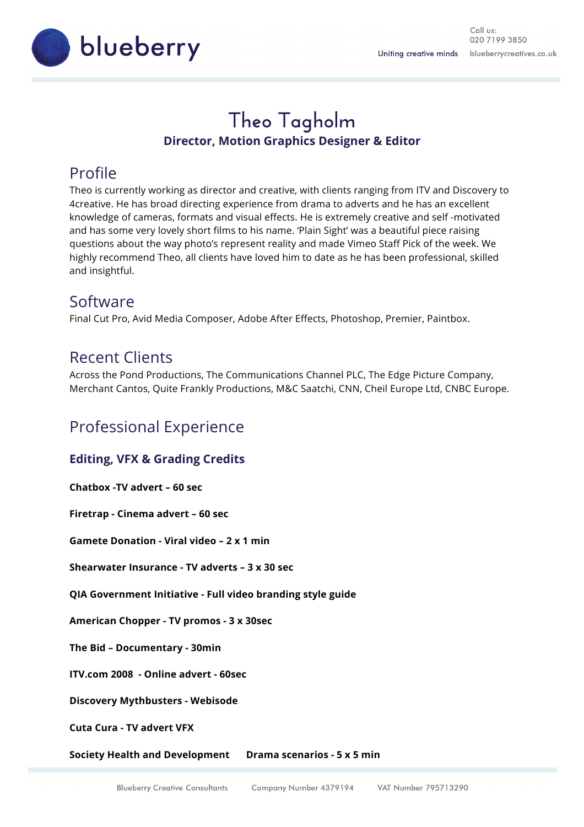Call us: 020 7199 3850 blueberrycreatives.co.uk Uniting creative minds



# **Theo Tagholm Director, Motion Graphics Designer & Editor**

# Profile

Theo is currently working as director and creative, with clients ranging from ITV and Discovery to 4creative. He has broad directing experience from drama to adverts and he has an excellent knowledge of cameras, formats and visual effects. He is extremely creative and self -motivated and has some very lovely short films to his name. 'Plain Sight' was a beautiful piece raising questions about the way photo's represent reality and made Vimeo Staff Pick of the week. We highly recommend Theo, all clients have loved him to date as he has been professional, skilled and insightful.

### Software

Final Cut Pro, Avid Media Composer, Adobe After Effects, Photoshop, Premier, Paintbox.

### Recent Clients

Across the Pond Productions, The Communications Channel PLC, The Edge Picture Company, Merchant Cantos, Quite Frankly Productions, M&C Saatchi, CNN, Cheil Europe Ltd, CNBC Europe.

### Professional Experience

#### **Editing, VFX & Grading Credits**

**Chatbox -TV advert – 60 sec** 

**Firetrap - Cinema advert – 60 sec**

**Gamete Donation - Viral video – 2 x 1 min**

**Shearwater Insurance - TV adverts – 3 x 30 sec** 

**QIA Government Initiative - Full video branding style guide**

**American Chopper - TV promos - 3 x 30sec**

**The Bid – Documentary - 30min**

**ITV.com 2008 - Online advert - 60sec**

**Discovery Mythbusters - Webisode**

**Cuta Cura - TV advert VFX**

**Society Health and Development Drama scenarios - 5 x 5 min**